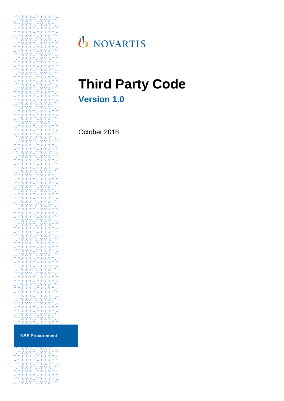

# U NOVARTIS

# **Third Party Code Version 1.0**

October 2018

**NBS Procurement**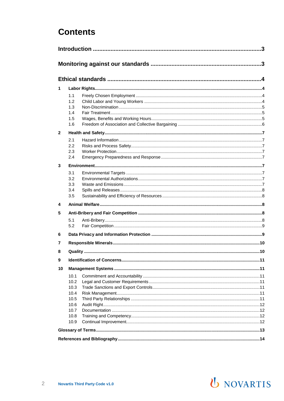## **Contents**

| 1            |                                                              |  |  |  |  |
|--------------|--------------------------------------------------------------|--|--|--|--|
|              | 1.1<br>1.2<br>1.3<br>1.4<br>1.5<br>1.6                       |  |  |  |  |
| $\mathbf{2}$ |                                                              |  |  |  |  |
|              | 2.1<br>2.2<br>2.3<br>2.4                                     |  |  |  |  |
| 3            |                                                              |  |  |  |  |
|              | 3.1<br>3.2<br>3.3<br>3.4<br>3.5                              |  |  |  |  |
| 4            |                                                              |  |  |  |  |
| 5            |                                                              |  |  |  |  |
| 6            | 5.1<br>5.2                                                   |  |  |  |  |
|              |                                                              |  |  |  |  |
| 7            |                                                              |  |  |  |  |
| 8            |                                                              |  |  |  |  |
| 9            |                                                              |  |  |  |  |
| 10           |                                                              |  |  |  |  |
|              | 10.1<br>10.2<br>10.3<br>10.4<br>10.5<br>10.6<br>10.7<br>10.8 |  |  |  |  |
|              | 10.9                                                         |  |  |  |  |
|              |                                                              |  |  |  |  |
|              |                                                              |  |  |  |  |
|              |                                                              |  |  |  |  |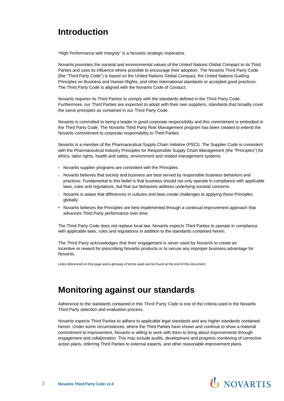## **Introduction**

"High Performance with Integrity" is a Novartis strategic imperative.

Novartis promotes the societal and environmental values of the United Nations Global Compact to its Third Parties and uses its influence where possible to encourage their adoption. The Novartis Third Party Code (the "Third Party Code") is based on the United Nations Global Compact, the United Nations Guiding Principles on Business and Human Rights, and other international standards or accepted good practices. The Third Party Code is aligned with the Novartis Code of Conduct.

Novartis requires its Third Parties to comply with the standards defined in the Third Party Code. Furthermore, our Third Parties are expected to adopt with their own suppliers, standards that broadly cover the same principles as contained in our Third Party Code.

Novartis is committed to being a leader in good corporate responsibility and this commitment is embodied in the Third Party Code. The Novartis Third Party Risk Management program has been created to extend the Novartis commitment to corporate responsibility to Third Parties.

Novartis is a member of the Pharmaceutical Supply Chain Initiative (PSCI). The Supplier Code is consistent with the Pharmaceutical Industry Principles for Responsible Supply Chain Management (the "Principles") for ethics, labor rights, health and safety, environment and related management systems.

- Novartis supplier programs are consistent with the Principles.
- Novartis believes that society and business are best served by responsible business behaviors and practices. Fundamental to this belief is that business should not only operate in compliance with applicable laws, rules and regulations, but that our behaviors address underlying societal concerns.
- Novartis is aware that differences in cultures and laws create challenges to applying these Principles globally.
- Novartis believes the Principles are best implemented through a continual improvement approach that advances Third Party performance over time.

The Third Party Code does not replace local law. Novartis expects Third Parties to operate in compliance with applicable laws, rules and regulations in addition to the standards contained herein.

The Third Party acknowledges that their engagement is never used by Novartis to create an incentive or reward for prescribing Novartis products or to secure any improper business advantage for Novartis.

Links referenced on this page and a glossary of terms used can be found at the end of this document.

## **Monitoring against our standards**

Adherence to the standards contained in this Third Party Code is one of the criteria used in the Novartis Third Party selection and evaluation process.

Novartis expects Third Parties to adhere to applicable legal standards and any higher standards contained herein. Under some circumstances, where the Third Parties have shown and continue to show a material commitment to improvement, Novartis is willing to work with them to bring about improvements through engagement and collaboration. This may include audits, development and progress monitoring of corrective action plans, referring Third Parties to external experts, and other reasonable improvement plans.

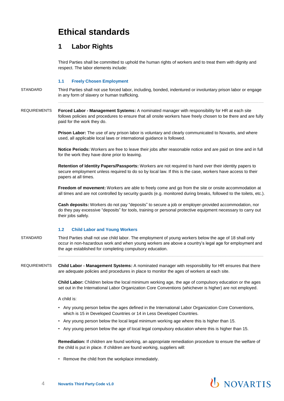## **Ethical standards**

### **1 Labor Rights**

Third Parties shall be committed to uphold the human rights of workers and to treat them with dignity and respect. The labor elements include:

### **1.1 Freely Chosen Employment**

STANDARD Third Parties shall not use forced labor, including, bonded, indentured or involuntary prison labor or engage in any form of slavery or human trafficking.

### REQUIREMENTS **Forced Labor - Management Systems:** A nominated manager with responsibility for HR at each site follows policies and procedures to ensure that all onsite workers have freely chosen to be there and are fully paid for the work they do.

**Prison Labor:** The use of any prison labor is voluntary and clearly communicated to Novartis, and where used, all applicable local laws or international guidance is followed.

**Notice Periods:** Workers are free to leave their jobs after reasonable notice and are paid on time and in full for the work they have done prior to leaving.

**Retention of Identity Papers/Passports:** Workers are not required to hand over their identity papers to secure employment unless required to do so by local law. If this is the case, workers have access to their papers at all times.

**Freedom of movement:** Workers are able to freely come and go from the site or onsite accommodation at all times and are not controlled by security guards (e.g. monitored during breaks, followed to the toilets, etc.).

**Cash deposits:** Workers do not pay "deposits" to secure a job or employer-provided accommodation, nor do they pay excessive "deposits" for tools, training or personal protective equipment necessary to carry out their jobs safely.

### **1.2 Child Labor and Young Workers**

STANDARD Third Parties shall not use child labor. The employment of young workers below the age of 18 shall only occur in non-hazardous work and when young workers are above a country's legal age for employment and the age established for completing compulsory education.

REQUIREMENTS **Child Labor - Management Systems:** A nominated manager with responsibility for HR ensures that there are adequate policies and procedures in place to monitor the ages of workers at each site.

> **Child Labor:** Children below the local minimum working age, the age of compulsory education or the ages set out in the International Labor Organization Core Conventions (whichever is higher) are not employed.

A child is:

- Any young person below the ages defined in the International Labor Organization Core Conventions, which is 15 in Developed Countries or 14 in Less Developed Countries.
- Any young person below the local legal minimum working age where this is higher than 15.
- Any young person below the age of local legal compulsory education where this is higher than 15.

**Remediation:** If children are found working, an appropriate remediation procedure to ensure the welfare of the child is put in place. If children are found working, suppliers will:

• Remove the child from the workplace immediately.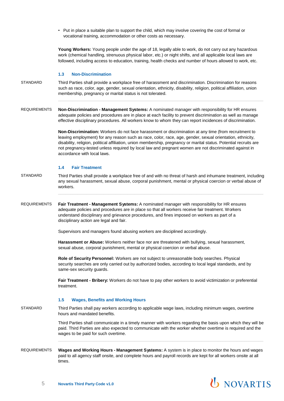• Put in place a suitable plan to support the child, which may involve covering the cost of formal or vocational training, accommodation or other costs as necessary.

**Young Workers:** Young people under the age of 18, legally able to work, do not carry out any hazardous work (chemical handling, strenuous physical labor, etc.) or night shifts, and all applicable local laws are followed, including access to education, training, health checks and number of hours allowed to work, etc.

#### **1.3 Non-Discrimination**

- STANDARD Third Parties shall provide a workplace free of harassment and discrimination. Discrimination for reasons such as race, color, age, gender, sexual orientation, ethnicity, disability, religion, political affiliation, union membership, pregnancy or marital status is not tolerated.
- REQUIREMENTS **Non-Discrimination - Management Systems:** A nominated manager with responsibility for HR ensures adequate policies and procedures are in place at each facility to prevent discrimination as well as manage effective disciplinary procedures. All workers know to whom they can report incidences of discrimination.

**Non-Discrimination:** Workers do not face harassment or discrimination at any time (from recruitment to leaving employment) for any reason such as race, color, race, age, gender, sexual orientation, ethnicity, disability, religion, political affiliation, union membership, pregnancy or marital status. Potential recruits are not pregnancy-tested unless required by local law and pregnant women are not discriminated against in accordance with local laws.

### **1.4 Fair Treatment**

- STANDARD Third Parties shall provide a workplace free of and with no threat of harsh and inhumane treatment, including any sexual harassment, sexual abuse, corporal punishment, mental or physical coercion or verbal abuse of workers.
- REQUIREMENTS **Fair Treatment - Management Systems:** A nominated manager with responsibility for HR ensures adequate policies and procedures are in place so that all workers receive fair treatment. Workers understand disciplinary and grievance procedures, and fines imposed on workers as part of a disciplinary action are legal and fair.

Supervisors and managers found abusing workers are disciplined accordingly.

**Harassment or Abuse:** Workers neither face nor are threatened with bullying, sexual harassment, sexual abuse, corporal punishment, mental or physical coercion or verbal abuse.

**Role of Security Personnel:** Workers are not subject to unreasonable body searches. Physical security searches are only carried out by authorized bodies, according to local legal standards, and by same-sex security guards.

**Fair Treatment - Bribery:** Workers do not have to pay other workers to avoid victimization or preferential treatment.

#### **1.5 Wages, Benefits and Working Hours**

STANDARD Third Parties shall pay workers according to applicable wage laws, including minimum wages, overtime hours and mandated benefits.

> Third Parties shall communicate in a timely manner with workers regarding the basis upon which they will be paid. Third Parties are also expected to communicate with the worker whether overtime is required and the wages to be paid for such overtime.

REQUIREMENTS **Wages and Working Hours - Management Systems:** A system is in place to monitor the hours and wages paid to all agency staff onsite, and complete hours and payroll records are kept for all workers onsite at all times.

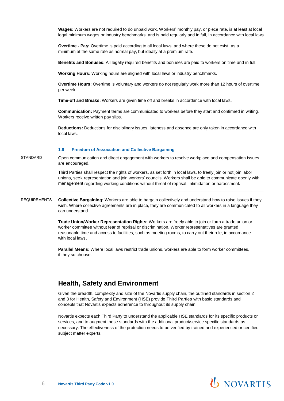**Wages:** Workers are not required to do unpaid work. Workers' monthly pay, or piece rate, is at least at local legal minimum wages or industry benchmarks, and is paid regularly and in full, in accordance with local laws.

**Overtime - Pay:** Overtime is paid according to all local laws, and where these do not exist, as a minimum at the same rate as normal pay, but ideally at a premium rate.

**Benefits and Bonuses:** All legally required benefits and bonuses are paid to workers on time and in full.

**Working Hours:** Working hours are aligned with local laws or industry benchmarks.

**Overtime Hours:** Overtime is voluntary and workers do not regularly work more than 12 hours of overtime per week.

**Time-off and Breaks:** Workers are given time off and breaks in accordance with local laws.

**Communication:** Payment terms are communicated to workers before they start and confirmed in writing. Workers receive written pay slips.

**Deductions:** Deductions for disciplinary issues, lateness and absence are only taken in accordance with local laws.

#### **1.6 Freedom of Association and Collective Bargaining**

STANDARD Open communication and direct engagement with workers to resolve workplace and compensation issues are encouraged.

> Third Parties shall respect the rights of workers, as set forth in local laws, to freely join or not join labor unions, seek representation and join workers' councils. Workers shall be able to communicate openly with management regarding working conditions without threat of reprisal, intimidation or harassment.

REQUIREMENTS **Collective Bargaining:** Workers are able to bargain collectively and understand how to raise issues if they wish. Where collective agreements are in place, they are communicated to all workers in a language they can understand.

> **Trade Union/Worker Representation Rights:** Workers are freely able to join or form a trade union or worker committee without fear of reprisal or discrimination. Worker representatives are granted reasonable time and access to facilities, such as meeting rooms, to carry out their role, in accordance with local laws.

**Parallel Means:** Where local laws restrict trade unions, workers are able to form worker committees, if they so choose.

### **Health, Safety and Environment**

Given the breadth, complexity and size of the Novartis supply chain, the outlined standards in section 2 and 3 for Health, Safety and Environment (HSE) provide Third Parties with basic standards and concepts that Novartis expects adherence to throughout its supply chain.

Novartis expects each Third Party to understand the applicable HSE standards for its specific products or services, and to augment these standards with the additional product/service specific standards as necessary. The effectiveness of the protection needs to be verified by trained and experienced or certified subject matter experts.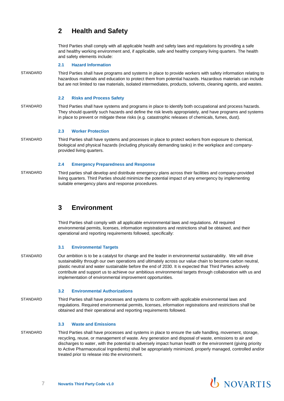### **2 Health and Safety**

Third Parties shall comply with all applicable health and safety laws and regulations by providing a safe and healthy working environment and, if applicable, safe and healthy company living quarters. The health and safety elements include:

### **2.1 Hazard Information**

STANDARD Third Parties shall have programs and systems in place to provide workers with safety information relating to hazardous materials and education to protect them from potential hazards. Hazardous materials can include but are not limited to raw materials, isolated intermediates, products, solvents, cleaning agents, and wastes.

### **2.2 Risks and Process Safety**

STANDARD Third Parties shall have systems and programs in place to identify both occupational and process hazards. They should quantify such hazards and define the risk levels appropriately, and have programs and systems in place to prevent or mitigate these risks (e.g. catastrophic releases of chemicals, fumes, dust).

### **2.3 Worker Protection**

STANDARD Third Parties shall have systems and processes in place to protect workers from exposure to chemical, biological and physical hazards (including physically demanding tasks) in the workplace and companyprovided living quarters.

### **2.4 Emergency Preparedness and Response**

STANDARD Third parties shall develop and distribute emergency plans across their facilities and company-provided living quarters. Third Parties should minimize the potential impact of any emergency by implementing suitable emergency plans and response procedures.

### **3 Environment**

Third Parties shall comply with all applicable environmental laws and regulations. All required environmental permits, licenses, information registrations and restrictions shall be obtained, and their operational and reporting requirements followed, specifically:

### **3.1 Environmental Targets**

STANDARD Our ambition is to be a catalyst for change and the leader in environmental sustainability. We will drive sustainability through our own operations and ultimately across our value chain to become carbon neutral, plastic neutral and water sustainable before the end of 2030. It is expected that Third Parties actively contribute and support us to achieve our ambitious environmental targets through collaboration with us and implementation of environmental improvement opportunities.

### **3.2 Environmental Authorizations**

STANDARD Third Parties shall have processes and systems to conform with applicable environmental laws and regulations. Required environmental permits, licenses, information registrations and restrictions shall be obtained and their operational and reporting requirements followed.

### **3.3 Waste and Emissions**

STANDARD Third Parties shall have processes and systems in place to ensure the safe handling, movement, storage, recycling, reuse, or management of waste. Any generation and disposal of waste, emissions to air and discharges to water, with the potential to adversely impact human health or the environment (giving priority to Active Pharmaceutical Ingredients) shall be appropriately minimized, properly managed, controlled and/or treated prior to release into the environment.

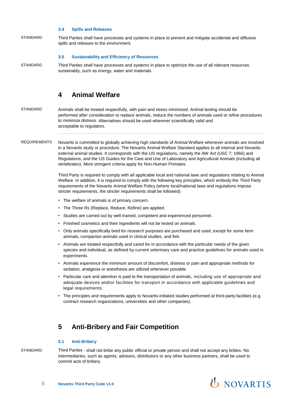### **3.4 Spills and Releases**

STANDARD Third Parties shall have processes and systems in place to prevent and mitigate accidental and diffusive spills and releases to the environment.

#### **3.5 Sustainability and Efficiency of Resources**

STANDARD Third Parties shall have processes and systems in place to optimize the use of all relevant resources sustainably, such as energy, water and materials.

### **4 Animal Welfare**

- STANDARD Animals shall be treated respectfully, with pain and stress minimized. Animal testing should be performed after consideration to replace animals, reduce the numbers of animals used or refine procedures to minimize distress. Alternatives should be used wherever scientifically valid and acceptable to regulators.
- REQUIREMENTS Novartis is committed to globally achieving high standards of Animal Welfare whenever animals are involved in a Novartis study or procedure. The Novartis Animal Welfare Standard applies to all internal and Novartis external animal studies. It corresponds with the US regulations, namely the AW Act (USC 7; 1966) and Regulations, and the US Guides for the Care and Use of Laboratory and Agricultural Animals (including all vertebrates). More stringent criteria apply for Non-Human Primates.

Third Party is required to comply with all applicable local and national laws and regulations relating to Animal Welfare. In addition, it is required to comply with the following key principles, which embody the Third Party requirements of the Novartis Animal Welfare Policy (where local/national laws and regulations impose stricter requirements, the stricter requirements shall be followed):

- The welfare of animals is of primary concern.
- The Three Rs (Replace, Reduce, Refine) are applied.
- Studies are carried out by well-trained, competent and experienced personnel.
- Finished cosmetics and their ingredients will not be tested on animals.
- Only animals specifically bred for research purposes are purchased and used, except for some farm animals, companion animals used in clinical studies, and fish.
- Animals are treated respectfully and cared for in accordance with the particular needs of the given species and individual, as defined by current veterinary care and practice guidelines for animals used in experiments.
- Animals experience the minimum amount of discomfort, distress or pain and appropriate methods for sedation, analgesia or anesthesia are utilized whenever possible.
- Particular care and attention is paid to the transportation of animals, including use of appropriate and adequate devices and/or facilities for transport in accordance with applicable guidelines and legal requirements.
- The principles and requirements apply to Novartis-initiated studies performed at third-party facilities (e.g. contract research organizations, universities and other companies).

### **5 Anti-Bribery and Fair Competition**

### **5.1 Anti-Bribery**

STANDARD Third Parties - shall not bribe any public official or private person and shall not accept any bribes. No intermediaries, such as agents, advisers, distributors or any other business partners, shall be used to commit acts of bribery.

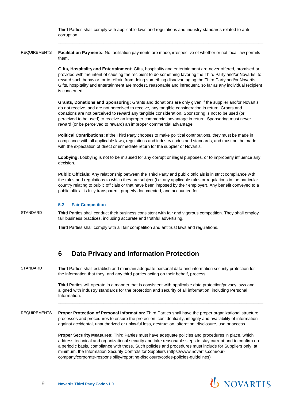Third Parties shall comply with applicable laws and regulations and industry standards related to anticorruption.

REQUIREMENTS **Facilitation Payments:** No facilitation payments are made, irrespective of whether or not local law permits them.

> **Gifts, Hospitality and Entertainment:** Gifts, hospitality and entertainment are never offered, promised or provided with the intent of causing the recipient to do something favoring the Third Party and/or Novartis, to reward such behavior, or to refrain from doing something disadvantaging the Third Party and/or Novartis. Gifts, hospitality and entertainment are modest, reasonable and infrequent, so far as any individual recipient is concerned.

**Grants, Donations and Sponsoring:** Grants and donations are only given if the supplier and/or Novartis do not receive, and are not perceived to receive, any tangible consideration in return. Grants and donations are not perceived to reward any tangible consideration. Sponsoring is not to be used (or perceived to be used) to receive an improper commercial advantage in return. Sponsoring must never reward (or be perceived to reward) an improper commercial advantage.

**Political Contributions:** If the Third Party chooses to make political contributions, they must be made in compliance with all applicable laws, regulations and industry codes and standards, and must not be made with the expectation of direct or immediate return for the supplier or Novartis.

**Lobbying:** Lobbying is not to be misused for any corrupt or illegal purposes, or to improperly influence any decision.

**Public Officials:** Any relationship between the Third Party and public officials is in strict compliance with the rules and regulations to which they are subject (i.e. any applicable rules or regulations in the particular country relating to public officials or that have been imposed by their employer). Any benefit conveyed to a public official is fully transparent, properly documented, and accounted for.

### **5.2 Fair Competition**

STANDARD Third Parties shall conduct their business consistent with fair and vigorous competition. They shall employ fair business practices, including accurate and truthful advertising.

Third Parties shall comply with all fair competition and antitrust laws and regulations.

### **6 Data Privacy and Information Protection**

STANDARD Third Parties shall establish and maintain adequate personal data and information security protection for the information that they, and any third parties acting on their behalf, process.

> Third Parties will operate in a manner that is consistent with applicable data protection/privacy laws and aligned with industry standards for the protection and security of all information, including Personal Information.

REQUIREMENTS **Proper Protection of Personal Information:** Third Parties shall have the proper organizational structure, processes and procedures to ensure the protection, confidentiality, integrity and availability of information against accidental, unauthorized or unlawful loss, destruction, alteration, disclosure, use or access.

> **Proper Security Measures:** Third Parties must have adequate policies and procedures in place, which address technical and organizational security and take reasonable steps to stay current and to confirm on a periodic basis, compliance with those. Such policies and procedures must include for Suppliers only, at minimum, the Information Security Controls for Suppliers [\(https://www.novartis.com/our](https://www.novartis.com/our-company/corporate-responsibility/reporting-disclosure/codes-policies-guidelines)[company/corporate-responsibility/reporting-disclosure/codes-policies-guidelines\)](https://www.novartis.com/our-company/corporate-responsibility/reporting-disclosure/codes-policies-guidelines)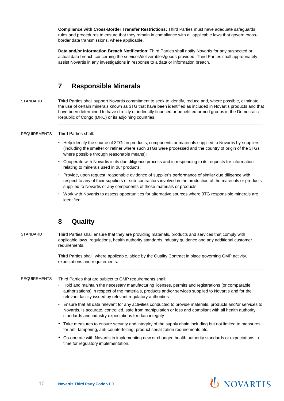**Compliance with Cross-Border Transfer Restrictions:** Third Parties must have adequate safeguards, rules and procedures to ensure that they remain in compliance with all applicable laws that govern crossborder data transmissions, where applicable.

**Data and/or Information Breach Notification**: Third Parties shall notify Novartis for any suspected or actual data breach concerning the services/deliverables/goods provided. Third Parties shall appropriately assist Novartis in any investigations in response to a data or information breach.

### **7 Responsible Minerals**

STANDARD Third Parties shall support Novartis commitment to seek to identify, reduce and, where possible, eliminate the use of certain minerals known as 3TG that have been identified as included in Novartis products and that have been determined to have directly or indirectly financed or benefitted armed groups in the Democratic Republic of Congo (DRC) or its adjoining countries.

### REQUIREMENTS Third Parties shall:

- Help identify the source of 3TGs in products, components or materials supplied to Novartis by suppliers (including the smelter or refiner where such 3TGs were processed and the country of origin of the 3TGs where possible through reasonable means);
- Cooperate with Novartis in its due diligence process and in responding to its requests for information relating to minerals used in our products;
- Provide, upon request, reasonable evidence of supplier's performance of similar due diligence with respect to any of their suppliers or sub-contractors involved in the production of the materials or products supplied to Novartis or any components of those materials or products;
- Work with Novartis to assess opportunities for alternative sources where 3TG responsible minerals are identified.

### **8 Quality**

STANDARD Third Parties shall ensure that they are providing materials, products and services that comply with applicable laws, regulations, health authority standards industry guidance and any additional customer requirements.

> Third Parties shall, where applicable, abide by the Quality Contract in place governing GMP activity, expectations and requirements.

REQUIREMENTS Third Parties that are subject to GMP requirements shall:

- Hold and maintain the necessary manufacturing licenses, permits and registrations (or comparable authorizations) in respect of the materials, products and/or services supplied to Novartis and for the relevant facility issued by relevant regulatory authorities
- Ensure that all data relevant for any activities conducted to provide materials, products and/or services to Novartis, is accurate, controlled, safe from manipulation or loss and compliant with all health authority standards and industry expectations for data integrity
- Take measures to ensure security and integrity of the supply chain including but not limited to measures for anti-tampering, anti-counterfeiting, product serialization requirements etc.
- Co-operate with Novartis in implementing new or changed health authority standards or expectations in time for regulatory implementation.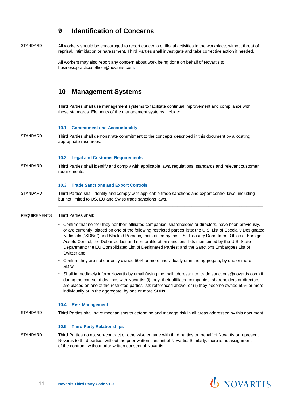### **9 Identification of Concerns**

STANDARD All workers should be encouraged to report concerns or illegal activities in the workplace, without threat of reprisal, intimidation or harassment. Third Parties shall investigate and take corrective action if needed.

> All workers may also report any concern about work being done on behalf of Novartis to: [business.practicesofficer@novartis.com.](mailto:business.practicesofficer@novartis.com)

### **10 Management Systems**

Third Parties shall use management systems to facilitate continual improvement and compliance with these standards. Elements of the management systems include:

### **10.1 Commitment and Accountability**

STANDARD Third Parties shall demonstrate commitment to the concepts described in this document by allocating appropriate resources.

#### **10.2 Legal and Customer Requirements**

STANDARD Third Parties shall identify and comply with applicable laws, regulations, standards and relevant customer requirements.

### **10.3 Trade Sanctions and Export Controls**

STANDARD Third Parties shall identify and comply with applicable trade sanctions and export control laws, including but not limited to US, EU and Swiss trade sanctions laws.

### REQUIREMENTS Third Parties shall:

- Confirm that neither they nor their affiliated companies, shareholders or directors, have been previously, or are currently, placed on one of the following restricted parties lists: the U.S. List of Specially Designated Nationals ("SDNs") and Blocked Persons, maintained by the U.S. Treasury Department Office of Foreign Assets Control; the Debarred List and non-proliferation sanctions lists maintained by the U.S. State Department; the EU Consolidated List of Designated Parties; and the Sanctions Embargoes List of Switzerland;
- Confirm they are not currently owned 50% or more, individually or in the aggregate, by one or more SDNs;
- Shall immediately inform Novartis by email (using the mail address[: nto\\_trade.sanctions@novartis.com\)](mailto:nto_trade.sanctions@novartis.com) if during the course of dealings with Novartis: (i) they, their affiliated companies, shareholders or directors are placed on one of the restricted parties lists referenced above; or (ii) they become owned 50% or more, individually or in the aggregate, by one or more SDNs.

#### **10.4 Risk Management**

STANDARD Third Parties shall have mechanisms to determine and manage risk in all areas addressed by this document.

#### **10.5 Third Party Relationships**

STANDARD Third Parties do not sub-contract or otherwise engage with third parties on behalf of Novartis or represent Novartis to third parties, without the prior written consent of Novartis. Similarly, there is no assignment of the contract, without prior written consent of Novartis.

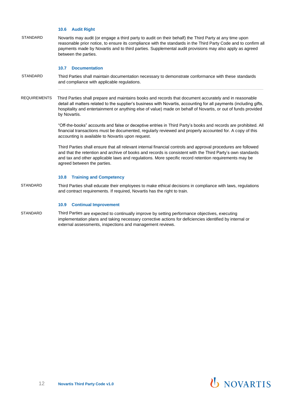### **10.6 Audit Right**

STANDARD Novartis may audit (or engage a third party to audit on their behalf) the Third Party at any time upon reasonable prior notice, to ensure its compliance with the standards in the Third Party Code and to confirm all payments made by Novartis and to third parties. Supplemental audit provisions may also apply as agreed between the parties.

#### **10.7 Documentation**

- STANDARD Third Parties shall maintain documentation necessary to demonstrate conformance with these standards and compliance with applicable regulations.
- REQUIREMENTS Third Parties shall prepare and maintains books and records that document accurately and in reasonable detail all matters related to the supplier's business with Novartis, accounting for all payments (including gifts, hospitality and entertainment or anything else of value) made on behalf of Novartis, or out of funds provided by Novartis.

"Off-the-books" accounts and false or deceptive entries in Third Party's books and records are prohibited. All financial transactions must be documented, regularly reviewed and properly accounted for. A copy of this accounting is available to Novartis upon request.

Third Parties shall ensure that all relevant internal financial controls and approval procedures are followed and that the retention and archive of books and records is consistent with the Third Party's own standards and tax and other applicable laws and regulations. More specific record retention requirements may be agreed between the parties.

#### **10.8 Training and Competency**

STANDARD Third Parties shall educate their employees to make ethical decisions in compliance with laws, regulations and contract requirements. If required, Novartis has the right to train.

### **10.9 Continual Improvement**

STANDARD Third Parties are expected to continually improve by setting performance objectives, executing implementation plans and taking necessary corrective actions for deficiencies identified by internal or external assessments, inspections and management reviews.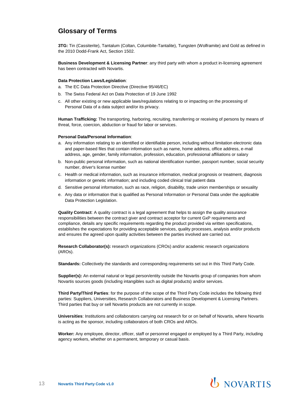### **Glossary of Terms**

**3TG:** Tin (Cassiterite), Tantalum (Coltan, Columbite-Tantalite), Tungsten (Wolframite) and Gold as defined in the 2010 Dodd-Frank Act, Section 1502.

**Business Development & Licensing Partner**: any third party with whom a product in-licensing agreement has been contracted with Novartis.

### **Data Protection Laws/Legislation**:

- a. The EC Data Protection Directive (Directive 95/46/EC)
- b. The Swiss Federal Act on Data Protection of 19 June 1992
- c. All other existing or new applicable laws/regulations relating to or impacting on the processing of Personal Data of a data subject and/or its privacy.

**Human Trafficking:** The transporting, harboring, recruiting, transferring or receiving of persons by means of threat, force, coercion, abduction or fraud for labor or services.

#### **Personal Data/Personal Information**:

- a. Any information relating to an identified or identifiable person, including without limitation electronic data and paper-based files that contain information such as name, home address, office address, e-mail address, age, gender, family information, profession, education, professional affiliations or salary
- b. Non-public personal information, such as national identification number, passport number, social security number, driver's license number
- c. Health or medical information, such as insurance information, medical prognosis or treatment, diagnosis information or genetic information; and including coded clinical trial patient data
- d. Sensitive personal information, such as race, religion, disability, trade union memberships or sexuality
- e. Any data or information that is qualified as Personal Information or Personal Data under the applicable Data Protection Legislation.

**Quality Contract**: A quality contract is a legal agreement that helps to assign the quality assurance responsibilities between the contract giver and contract acceptor for current GxP requirements and compliance, details any specific requirements regarding the product provided via written specifications, establishes the expectations for providing acceptable services, quality processes, analysis and/or products and ensures the agreed upon quality activities between the parties involved are carried out.

**Research Collaborator(s):** research organizations (CROs) and/or academic research organizations (AROs).

**Standards:** Collectively the standards and corresponding requirements set out in this Third Party Code.

**Supplier(s):** An external natural or legal person/entity outside the Novartis group of companies from whom Novartis sources goods (including intangibles such as digital products) and/or services.

**Third Party/Third Parties**: for the purpose of the scope of the Third Party Code includes the following third parties: Suppliers, Universities, Research Collaborators and Business Development & Licensing Partners. Third parties that buy or sell Novartis products are not currently in scope.

**Universities**: Institutions and collaborators carrying out research for or on behalf of Novartis, where Novartis is acting as the sponsor, including collaborators of both CROs and AROs.

**Worker:** Any employee, director, officer, staff or personnel engaged or employed by a Third Party, including agency workers, whether on a permanent, temporary or casual basis.